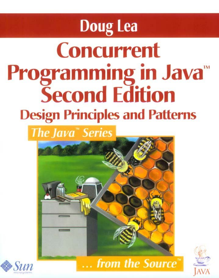## **Doug Lea**

# **Concurrent** Programming in Java<sup>"</sup> **Second Edition Design Principles and Patterns**

**The Java** Series



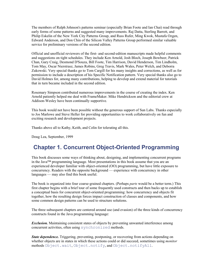The members of Ralph Johnson's patterns seminar (especially Brian Foote and Ian Chai) read through early forms of some patterns and suggested many improvements. Raj Datta, Sterling Barrett, and Philip Eskelin of the New York City Patterns Group, and Russ Rufer, Ming Kwok, Mustafa Ozgen, Edward Anderson, and Don Chin of the Silicon Valley Patterns Group performed similar valuable service for preliminary versions of the second edition.

Official and unofficial reviewers of the first- and second-edition manuscripts made helpful comments and suggestions on tight schedules. They include Ken Arnold, Josh Bloch, Joseph Bowbeer, Patrick Chan, Gary Craig, Desmond D'Souza, Bill Foote, Tim Harrison, David Henderson, Tim Lindholm, Tom May, Oscar Nierstrasz, James Robins, Greg Travis, Mark Wales, Peter Welch, and Deborra Zukowski. Very special thanks go to Tom Cargill for his many insights and corrections, as well as for permission to include a description of his Specific Notification pattern. Very special thanks also go to David Holmes for, among many contributions, helping to develop and extend material for tutorials that in turn became included in the second edition.

Rosemary Simpson contributed numerous improvements in the course of creating the index. Ken Arnold patiently helped me deal with FrameMaker. Mike Hendrickson and the editorial crew at Addison-Wesley have been continually supportive.

This book would not have been possible without the generous support of Sun Labs. Thanks especially to Jos Marlowe and Steve Heller for providing opportunities to work collaboratively on fun and exciting research and development projects.

Thanks above all to Kathy, Keith, and Colin for tolerating all this.

Doug Lea, September, 1999

## **Chapter 1. Concurrent Object-Oriented Programming**

This book discusses some ways of thinking about, designing, and implementing concurrent programs in the Java™ programming language. Most presentations in this book assume that you are an experienced developer familiar with object-oriented (OO) programming, but have little exposure to concurrency. Readers with the opposite background — experience with concurrency in other languages — may also find this book useful.

The book is organized into four coarse-grained chapters. (Perhaps *parts* would be a better term.) This first chapter begins with a brief tour of some frequently used constructs and then backs up to establish a conceptual basis for concurrent object-oriented programming: how concurrency and objects fit together, how the resulting design forces impact construction of classes and components, and how some common design patterns can be used to structure solutions.

The three subsequent chapters are centered around use (and evasion) of the three kinds of concurrency constructs found in the Java programming language:

*Exclusion.* Maintaining consistent states of objects by preventing unwanted interference among concurrent activities, often using synchronized methods.

*State dependence.* Triggering, preventing, postponing, or recovering from actions depending on whether objects are in states in which these actions could or did succeed, sometimes using *monitor* methods Object.wait, Object.notify, and Object.notifyAll.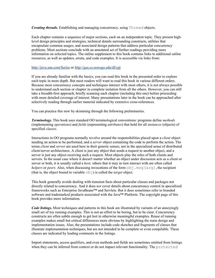*Creating threads.* Establishing and managing concurrency, using Thread objects.

Each chapter contains a sequence of major sections, each on an independent topic. They present highlevel design principles and strategies, technical details surrounding constructs, utilities that encapsulate common usages, and associated design patterns that address particular concurrency problems. Most sections conclude with an annotated set of further readings providing more information on selected topics. The online supplement to this book contains links to additional online resources, as well as updates, errata, and code examples. It is accessible via links from:

#### <http://java.sun.com/Series> or<http://gee.cs.oswego.edu/dl/cpj>

If you are already familiar with the basics, you can read this book in the presented order to explore each topic in more depth. But most readers will want to read this book in various different orders. Because most concurrency concepts and techniques interact with most others, it is not always possible to understand each section or chapter in complete isolation from all the others. However, you can still take a breadth-first approach, briefly scanning each chapter (including this one) before proceeding with more detailed coverage of interest. Many presentations later in the book can be approached after selectively reading through earlier material indicated by extensive cross-references.

You can practice this now by skimming through the following preliminaries.

*Terminology.* This book uses standard OO terminological conventions: programs define *methods* (implementing *operations*) and *fields* (representing *attributes*) that hold for all *instances* (objects) of specified *classes.*

Interactions in OO programs normally revolve around the responsibilities placed upon a *client* object needing an action to be performed, and a *server* object containing the code to perform the action. The terms *client* and *server* are used here in their generic senses, not in the specialized sense of distributed client/server architectures. A client is just any object that sends a request to another object, and a server is just any object receiving such a request. Most objects play the roles of both clients and servers. In the usual case where it doesn't matter whether an object under discussion acts as a client or server or both, it is usually called a *host;* others that it may in turn interact with are often called *helpers* or *peers*. Also, when discussing invocations of the form  $\circ$ b $\vdots$ , msq(arg), the recipient (that is, the object bound to variable  $\circ$ b<sup>†</sup>) is called the *target* object.

This book generally avoids dealing with transient facts about particular classes and packages not directly related to concurrency. And it does *not* cover details about concurrency control in specialized frameworks such as Enterprise JavaBeans™ and Servlets. But it does sometimes refer to branded software and trademarked products associated with the Java™ Platform. The copyright page of this book provides more information.

*Code listings.* Most techniques and patterns in this book are illustrated by variants of an annoyingly small set of toy running examples. This is not an effort to be boring, but to be clear. Concurrency constructs are often subtle enough to get lost in otherwise meaningful examples. Reuse of running examples makes small but critical differences more obvious by highlighting the main design and implementation issues. Also, the presentations include code sketches and fragments of classes that illustrate implementation techniques, but are not intended to be complete or even compilable. These classes are indicated by leading comments in the listings.

Import statements, access qualifiers, and even methods and fields are sometimes omitted from listings when they can be inferred from context or do not impact relevant functionality. The protected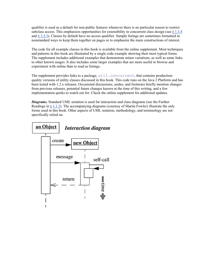qualifier is used as a default for non-public features whenever there is no particular reason to restrict subclass access. This emphasizes opportunities for extensibility in concurrent class design (see  $\S 1.3.4$ ) and  $\S$  3.3.3). Classes by default have no access qualifier. Sample listings are sometimes formatted in nonstandard ways to keep them together on pages or to emphasize the main constructions of interest.

The code for all example classes in this book is available from the online supplement. Most techniques and patterns in this book are illustrated by a single code example showing their most typical forms. The supplement includes additional examples that demonstrate minor variations, as well as some links to other known usages. It also includes some larger examples that are more useful to browse and experiment with online than to read as listings.

The supplement provides links to a package,  $util$ . concurrent, that contains productionquality versions of utility classes discussed in this book. This code runs on the Java 2 Platform and has been tested with 1.2.x releases. Occasional discussions, asides, and footnotes briefly mention changes from previous releases, potential future changes known at the time of this writing, and a few implementation quirks to watch out for. Check the online supplement for additional updates.

*Diagrams.* Standard UML notation is used for interaction and class diagrams (see the Further Readings in  $\S$  1.1.3). The accompanying diagrams (courtesy of Martin Fowler) illustrate the only forms used in this book. Other aspects of UML notation, methodology, and terminology are not specifically relied on.

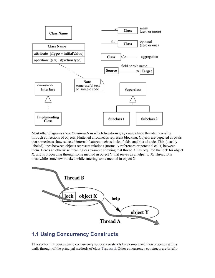

Most other diagrams show *timethreads* in which free-form gray curves trace threads traversing through collections of objects. Flattened arrowheads represent blocking. Objects are depicted as ovals that sometimes show selected internal features such as locks, fields, and bits of code. Thin (usually labeled) lines between objects represent relations (normally references or potential calls) between them. Here's an otherwise meaningless example showing that thread A has acquired the lock for object X, and is proceeding through some method in object Y that serves as a helper to X. Thread B is meanwhile somehow blocked while entering some method in object X:



## **1.1 Using Concurrency Constructs**

This section introduces basic concurrency support constructs by example and then proceeds with a walk-through of the principal methods of class Thread. Other concurrency constructs are briefly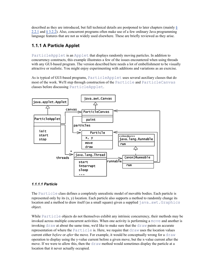described as they are introduced, but full technical details are postponed to later chapters (mainly § 2.2.1 and  $\S 3.2.2$ ). Also, concurrent programs often make use of a few ordinary Java programming language features that are not as widely used elsewhere. These are briefly reviewed as they arise.

## **1.1.1 A Particle Applet**

ParticleApplet is an Applet that displays randomly moving particles. In addition to concurrency constructs, this example illustrates a few of the issues encountered when using threads with any GUI-based program. The version described here needs a lot of embellishment to be visually attractive or realistic. You might enjoy experimenting with additions and variations as an exercise.

As is typical of GUI-based programs, ParticleApplet uses several auxiliary classes that do most of the work. We'll step through construction of the Particle and ParticleCanvas classes before discussing ParticleApplet.



#### *1.1.1.1 Particle*

The Particle class defines a completely unrealistic model of movable bodies. Each particle is represented only by its  $(x, y)$  location. Each particle also supports a method to randomly change its location and a method to draw itself (as a small square) given a supplied  $\exists$  ava.awt.Graphics object.

While Particle objects do not themselves exhibit any intrinsic concurrency, their methods may be invoked across multiple concurrent activities. When one activity is performing a move and another is invoking  $d$ raw at about the same time, we'd like to make sure that the  $d$ raw paints an accurate representation of where the  $Particle$  is. Here, we require that  $draw$  uses the location values current either *before* or *after* the move. For example, it would be conceptually wrong for a draw operation to display using the y-value current before a given move, but the x-value current after the move. If we were to allow this, then the  $d$ r aw method would sometimes display the particle at a location that it never actually occupied.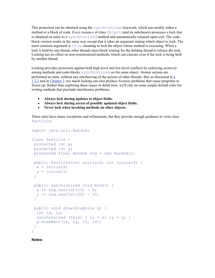This protection can be obtained using the synchronized keyword, which can modify either a method or a block of code. *Every instance* of class Object (and its subclasses) possesses a lock that is obtained on entry to a synchronized method and automatically released upon exit. The codeblock version works in the same way except that it takes an argument stating which object to lock. The most common argument is this, meaning to lock the object whose method is executing. When a lock is held by one thread, other threads must block waiting for the holding thread to release the lock. Locking has no effect on non-synchronized methods, which can execute even if the lock is being held by another thread.

Locking provides protection against both high-level and low-level conflicts by enforcing *atomicity* among methods and code-blocks synchronized on the same object. Atomic actions are performed as units, without any interleaving of the actions of other threads. But, as discussed in § 1.3.2 and in Chapter 2, too much locking can also produce liveness problems that cause programs to freeze up. Rather than exploring these issues in detail now, we'll rely on some simple default rules for writing methods that preclude interference problems:

- **Always lock during updates to object fields.**
- **Always lock during access of possibly updated object fields.**
- **Never lock when invoking methods on other objects.**

These rules have many exceptions and refinements, but they provide enough guidance to write class Particle:

```
import java.util.Random;
```

```
class Particle { 
 protected int x; 
 protected int y; 
 protected final Random rng = new Random(); 
 public Particle(int initialX, int initialY) { 
  x = initialX;
  y = initialy;
  } 
 public synchronized void move() { 
 x += rng.nextInt(10) - 5;
  y += rng.nextInt(20) - 10;
  } 
 public void draw(Graphics g) { 
   int lx, ly; 
  synchronized (this) { lx = x; ly = y; }
   g.drawRect(lx, ly, 10, 10); 
  } 
}
```
**Notes:**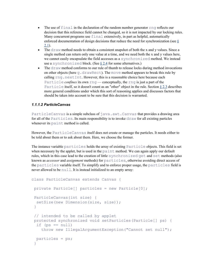- The use of  $\text{final}$  in the declaration of the random number generator  $\text{rng}$  reflects our decision that this reference field cannot be changed, so it is not impacted by our locking rules. Many concurrent programs use final extensively, in part as helpful, automatically enforced documentation of design decisions that reduce the need for synchronization (see § 2.1).
- The  $d$ raw method needs to obtain a consistent snapshot of both the x and y values. Since a single method can return only one value at a time, and we need both the x and y values here, we cannot easily encapsulate the field accesses as a synchronized method. We instead use a synchronized block. (See  $\S 2.4$  for some alternatives.)
- The  $d$ raw method conforms to our rule of thumb to release locks during method invocations on other objects (here  $q$ , drawRect). The move method appears to break this rule by calling rng.nextInt. However, this is a reasonable choice here because each Particle *confines* its own rng — conceptually, the rng is just a part of the Particle itself, so it doesn't count as an "other" object in the rule. Section  $\S 2.3$  describes more general conditions under which this sort of reasoning applies and discusses factors that should be taken into account to be sure that this decision is warranted.

#### *1.1.1.2 ParticleCanvas*

ParticleCanvas is a simple subclass of java.awt.Canvas that provides a drawing area for all of the Particles. Its main responsibility is to invoke draw for all existing particles whenever its paint method is called.

However, the ParticleCanvas itself does not create or manage the particles. It needs either to be told about them or to ask about them. Here, we choose the former.

The instance variable particles holds the array of existing Particle objects. This field is set when necessary by the applet, but is used in the  $\pi$  paint method. We can again apply our default rules, which in this case lead to the creation of little synchronized get and set methods (also known as *accessor* and *assignment* methods) for particles, otherwise avoiding direct access of the particles variable itself. To simplify and to enforce proper usage, the particles field is never allowed to be null. It is instead initialized to an empty array:

```
class ParticleCanvas extends Canvas { 
 private Particle[] particles = new Particle[0]; 
 ParticleCanvas(int size) { 
  setSize(new Dimension(size, size));
  } 
  // intended to be called by applet 
 protected synchronized void setParticles(Particle[] ps) { 
  if (ps == null) throw new IllegalArgumentException("Cannot set null"); 
  particles = ps; 
  }
```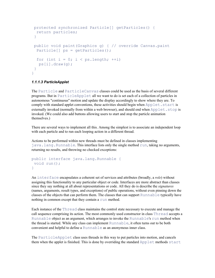```
 protected synchronized Particle[] getParticles() { 
  return particles; 
  } 
 public void paint(Graphics g) { // override Canvas.paint 
  Particle[] ps = getParticles();
  for (int i = 0; i < ps.length; ++i)
   ps[i].draw(g); 
  } 
}
```
#### *1.1.1.3 ParticleApplet*

The Particle and ParticleCanvas classes could be used as the basis of several different programs. But in ParticleApplet all we want to do is set each of a collection of particles in autonomous "continuous" motion and update the display accordingly to show where they are. To comply with standard applet conventions, these activities should begin when  $Applet$ . start is externally invoked (normally from within a web browser), and should end when  $Applet$ . stop is invoked. (We could also add buttons allowing users to start and stop the particle animation themselves.)

There are several ways to implement all this. Among the simplest is to associate an independent loop with each particle and to run each looping action in a different thread.

Actions to be performed within new threads must be defined in classes implementing java.lang.Runnable. This interface lists only the single method run, taking no arguments, returning no results, and throwing no checked exceptions:

```
public interface java.lang.Runnable { 
 void run(); 
}
```
An interface encapsulates a coherent set of services and attributes (broadly, a *role*) without assigning this functionality to any particular object or code. Interfaces are more abstract than classes since they say nothing at all about representations or code. All they do is describe the *signatures* (names, arguments, result types, and exceptions) of public operations, without even pinning down the classes of the objects that can perform them. The classes that can support Runnable typically have nothing in common except that they contain a run method.

Each instance of the Thread class maintains the control state necessary to execute and manage the call sequence comprising its action. The most commonly used constructor in class  $Thread$  accepts a Runnable object as an argument, which arranges to invoke the Runnable's run method when the thread is started. While any class can implement Runnable, it often turns out to be both convenient and helpful to define a Runnable as an anonymous inner class.

The ParticleApplet class uses threads in this way to put particles into motion, and cancels them when the applet is finished. This is done by overriding the standard  $Applet$  methods start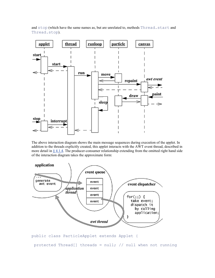



The above interaction diagram shows the main message sequences during execution of the applet. In addition to the threads explicitly created, this applet interacts with the AWT event thread, described in more detail in  $§$  4.1.4. The producer-consumer relationship extending from the omitted right hand side of the interaction diagram takes the approximate form:



public class ParticleApplet extends Applet {

protected Thread[] threads =  $null;$  //  $null$  when not running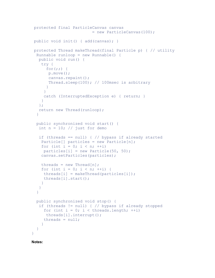```
 protected final ParticleCanvas canvas 
                           = new ParticleCanvas(100); 
public void init() { add(canvas); }
 protected Thread makeThread(final Particle p) { // utility 
  Runnable runloop = new Runnable() { 
   public void run() { 
     try { 
      for(j; j) {
       p.move(); 
        canvas.repaint(); 
        Thread.sleep(100); // 100msec is arbitrary 
       } 
      } 
      catch (InterruptedException e) { return; } 
     } 
    }; 
   return new Thread(runloop); 
   } 
   public synchronized void start() { 
   int n = 10; // just for demo
   if (threads == null) { // bypass if already started
     Particle[] particles = new Particle[n]; 
    for (int i = 0; i < n; ++i)
    particles[i] = new Particle(50, 50);
     canvas.setParticles(particles); 
    threads = new Thread[n];
    for (int i = 0; i < n; ++i) {
     threads[i] = makeThread(particles[i]);
     threads[i].start(); 
     } 
    } 
   } 
  public synchronized void stop() { 
    if (threads != null) { // bypass if already stopped 
     for (int i = 0; i < threads. length; ++i)
       threads[i].interrupt(); 
     threads = null; } 
   } 
}
```
**Notes:**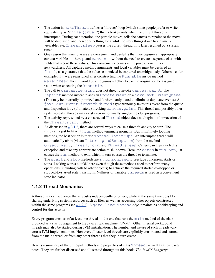- The action in makeThread defines a "forever" loop (which some people prefer to write equivalently as "while  $(true)$ ") that is broken only when the current thread is interrupted. During each iteration, the particle moves, tells the canvas to repaint so the move will be displayed, and then does nothing for a while, to slow things down to a humanviewable rate. Thread.sleep pauses the current thread. It is later resumed by a system timer.
- One reason that inner classes are convenient and useful is that they *capture* all appropriate context variables — here  $p$  and  $c$  any  $as$  — without the need to create a separate class with fields that record these values. This convenience comes at the price of one minor awkwardness: All captured method arguments and local variables must be declared as final, as a guarantee that the values can indeed be captured unambiguously. Otherwise, for example, if  $p$  were reassigned after constructing the Runnable inside method makeThread, then it would be ambiguous whether to use the original or the assigned value when executing the Runnable.
- The call to canvas. repaint does not directly invoke canvas. paint. The repaint method instead places an UpdateEvent on a java.awt.EventQueue. (This may be internally optimized and further manipulated to eliminate duplicate events.) A java.awt.EventDispatchThread asynchronously takes this event from the queue and dispatches it by (ultimately) invoking canvas. paint. This thread and possibly other system-created threads may exist even in nominally single-threaded programs.
- The activity represented by a constructed Thread object does not begin until invocation of the Thread.start method.
- As discussed in  $\S 3.1.2$ , there are several ways to cause a thread's activity to stop. The simplest is just to have the run method terminate normally. But in infinitely looping methods, the best option is to use Thread.interrupt. An interrupted thread will automatically abort (via an InterruptedException) from the methods Object.wait, Thread.join, and Thread.sleep. Callers can then catch this exception and take any appropriate action to shut down. Here, the catch in runloop just causes the run method to exit, which in turn causes the thread to terminate.
- The start and stop methods are synchronized to preclude concurrent starts or stops. Locking works out OK here even though these methods need to perform many operations (including calls to other objects) to achieve the required started-to-stopped or stopped-to-started state transitions. Nullness of variable threads is used as a convenient state indicator.

## **1.1.2 Thread Mechanics**

A thread is a call sequence that executes independently of others, while at the same time possibly sharing underlying system resources such as files, as well as accessing other objects constructed within the same program (see  $\S 1.2.2$ ). A java.lang.Thread *object* maintains bookkeeping and control for this activity.

Every program consists of at least one thread — the one that runs the main method of the class provided as a startup argument to the Java virtual machine ("JVM"). Other internal background threads may also be started during JVM initialization. The number and nature of such threads vary across JVM implementations. However, all user-level threads are explicitly constructed and started from the main thread, or from any other threads that they in turn create.

Here is a summary of the principal methods and properties of class Thread, as well as a few usage notes. They are further discussed and illustrated throughout this book. *The Java*™ *Language*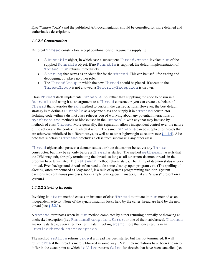*Specification* ("*JLS*") and the published API documentation should be consulted for more detailed and authoritative descriptions.

#### *1.1.2.1 Construction*

Different Thread constructors accept combinations of arguments supplying:

- A Runnable object, in which case a subsequent Thread.start invokes run of the supplied Runnable object. If no Runnable is supplied, the default implementation of Thread.run returns immediately.
- A String that serves as an identifier for the Thread. This can be useful for tracing and debugging, but plays no other role.
- The ThreadGroup in which the new Thread should be placed. If access to the ThreadGroup is not allowed, a SecurityException is thrown.

Class Thread itself implements Runnable. So, rather than supplying the code to be run in a Runnable and using it as an argument to a Thread constructor, you can create a subclass of Thread that overrides the run method to perform the desired actions. However, the best default strategy is to define a Runnable as a separate class and supply it in a Thread constructor. Isolating code within a distinct class relieves you of worrying about any potential interactions of synchronized methods or blocks used in the Runnable with any that may be used by methods of class Thread. More generally, this separation allows independent control over the nature of the action and the context in which it is run: The same Runnable can be supplied to threads that are otherwise initialized in different ways, as well as to other lightweight executors (see  $\S 4.1.4$ ). Also note that subclassing Thread precludes a class from subclassing any other class.

Thread objects also possess a daemon status attribute that cannot be set via any Thread constructor, but may be set only before a Thread is started. The method setDaemon asserts that the JVM may exit, abruptly terminating the thread, so long as all other non-daemon threads in the program have terminated. The  $\pm$  spacemon method returns status. The utility of daemon status is very limited. Even background threads often need to do some cleanup upon program exit. (The spelling of *daemon,* often pronounced as "day-mon", is a relic of systems programming tradition. System daemons are continuous processes, for example print-queue managers, that are "always" present on a system.)

#### *1.1.2.2 Starting threads*

Invoking its start method causes an instance of class Thread to initiate its run method as an independent activity. None of the synchronization locks held by the caller thread are held by the new thread (see  $\S$  2.2.1).

A Thread terminates when its run method completes by either returning normally or throwing an unchecked exception (i.e., RuntimeException, Error, or one of their subclasses). Threads are not restartable, even after they terminate. Invoking start more than once results in an InvalidThreadStateException.

The method is  $A \perp i$  ve returns true if a thread has been started but has not terminated. It will return  $true$  if the thread is merely blocked in some way. JVM implementations have been known to differ in the exact point at which  $\pm$  salive returns false for threads that have been cancelled (see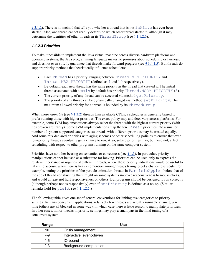$§ 3.1.2$ ). There is no method that tells you whether a thread that is not isAlive has ever been started. Also, one thread cannot readily determine which other thread started it, although it may determine the identities of other threads in its  $\text{ThreadGroup}$  (see § 1.1.2.6).

#### *1.1.2.3 Priorities*

To make it possible to implement the Java virtual machine across diverse hardware platforms and operating systems, the Java programming language makes no promises about scheduling or fairness, and does not even strictly guarantee that threads make forward progress (see  $\S$  3.4.1.5). But threads do support priority methods that heuristically influence schedulers:

- Each Thread has a priority, ranging between Thread. MIN PRIORITY and Thread.MAX PRIORITY (defined as 1 and 10 respectively).
- By default, each new thread has the same priority as the thread that created it. The initial thread associated with a main by default has priority Thread.NORM\_PRIORITY (5).
- The current priority of any thread can be accessed via method  $\text{qetPriority}.$
- The priority of any thread can be dynamically changed via method setPriority. The maximum allowed priority for a thread is bounded by its ThreadGroup.

When more *runnable* (see § 1.3.2) threads than available CPUs, a scheduler is generally biased to prefer running those with higher priorities. The exact policy may and does vary across platforms. For example, some JVM implementations always select the thread with the highest current priority (with ties broken arbitrarily). Some JVM implementations map the ten Thread priorities into a smaller number of system-supported categories, so threads with different priorities may be treated equally. And some mix declared priorities with aging schemes or other scheduling policies to ensure that even low-priority threads eventually get a chance to run. Also, setting priorities may, but need not, affect scheduling with respect to other programs running on the same computer system.

Priorities have no other bearing on semantics or correctness (see  $\S 1.3$ ). In particular, priority manipulations cannot be used as a substitute for locking. Priorities can be used only to express the relative importance or urgency of different threads, where these priority indications would be useful to take into account when there is heavy contention among threads trying to get a chance to execute. For example, setting the priorities of the particle animation threads in ParticleApplet below that of the applet thread constructing them might on some systems improve responsiveness to mouse clicks, and would at least not hurt responsiveness on others. But programs should be designed to run correctly (although perhaps not as responsively) even if  $\text{setPriority}$  is defined as a no-op. (Similar remarks hold for  $y$ ield; see  $\S$  1.1.2.5.)

The following table gives one set of general conventions for linking task categories to priority settings. In many concurrent applications, relatively few threads are actually runnable at any given time (others are all blocked in some way), in which case there is little reason to manipulate priorities. In other cases, minor tweaks in priority settings may play a small part in the final tuning of a concurrent system.

| Range   | Use                       |  |  |  |  |
|---------|---------------------------|--|--|--|--|
| 10      | Crisis management         |  |  |  |  |
| 7-9     | Interactive, event-driven |  |  |  |  |
| 4-6     | IO-bound                  |  |  |  |  |
| $2 - 3$ | Background computation    |  |  |  |  |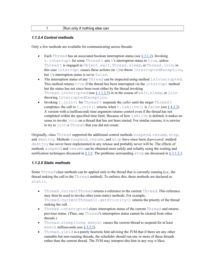#### *1.1.2.4 Control methods*

Only a few methods are available for communicating across threads:

- Each Thread has an associated boolean interruption status (see  $\S 3.1.2$ ). Invoking t.interrupt for some Thread t sets t's interruption status to true, unless Thread t is engaged in Object.wait, Thread.sleep, or Thread.join; in this case interrupt causes these actions (in t) to throw InterruptedException, but t's interruption status is set to false.
- The interruption status of any Thread can be inspected using method isInterrupted. This method returns true if the thread has been interrupted via the interrupt method but the status has not since been reset either by the thread invoking Thread.interrupted (see  $\S 1.1.2.5$ ) or in the course of wait, sleep, or join throwing InterruptedException.
- Invoking t.join() for Thread t suspends the *caller* until the target Thread t completes: the call to t.join() returns when t.isAlive() is false (see  $\S$  4.3.2). A version with a (millisecond) time argument returns control even if the thread has not completed within the specified time limit. Because of how isAlive is defined, it makes no sense to invoke  $\overline{\uparrow} \circ \overline{\downarrow}$  on a thread that has not been started. For similar reasons, it is unwise to try to join a Thread that you did not create.

Originally, class Thread supported the additional control methods suspend, resume, stop, and destroy. Methods suspend, resume, and stop have since been *deprecated;* method destroy has never been implemented in any release and probably never will be. The effects of methods suspend and resume can be obtained more safely and reliably using the waiting and notification techniques discussed in  $\S 3.2$ . The problems surrounding  $\text{stop}$  are discussed in  $\S 3.1.2.3$ .

#### *1.1.2.5 Static methods*

Some Thread class methods can be applied only to the thread that is currently running (i.e., the thread making the call to the Thread method). To enforce this, these methods are declared as static.

- Thread.currentThread returns a reference to the current Thread. This reference may then be used to invoke other (non-static) methods. For example, Thread.currentThread().getPriority() returns the priority of the thread making the call.
- Thread.interrupted clears interruption status of the current Thread and returns previous status. (Thus, one Thread's interruption status cannot be cleared from other threads.)
- Thread.sleep(long msecs) causes the current thread to suspend for at least msecs milliseconds (see § 3.2.2).
- Thread. yield is a purely heuristic hint advising the JVM that if there are any other runnable but non-running threads, the scheduler should run one or more of these threads rather than the current thread. The JVM may interpret this hint in any way it likes.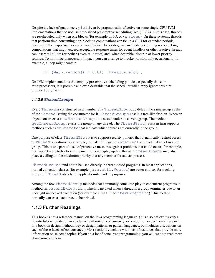Despite the lack of guarantees,  $\text{yield can be pragmatically effective on some single-CPU JVM}$ implementations that do not use time-sliced pre-emptive scheduling (see  $\S$  1.2.2). In this case, threads are rescheduled only when one blocks (for example on IO, or via  $s \leq s \leq 0$ ). On these systems, threads that perform time-consuming non-blocking computations can tie up a CPU for extended periods, decreasing the responsiveness of an application. As a safeguard, methods performing non-blocking computations that might exceed acceptable response times for event handlers or other reactive threads can insert yields (or perhaps even sleeps) and, when desirable, also run at lower priority settings. To minimize unnecessary impact, you can arrange to invoke yield only occasionally; for example, a loop might contain:

```
if (Math.random() < 0.01) Thread.yield();
```
On JVM implementations that employ pre-emptive scheduling policies, especially those on multiprocessors, it is possible and even desirable that the scheduler will simply ignore this hint provided by yield.

#### *1.1.2.6 ThreadGroups*

Every Thread is constructed as a member of a ThreadGroup, by default the same group as that of the Thread issuing the constructor for it. ThreadGroups nest in a tree-like fashion. When an object constructs a new ThreadGroup, it is nested under its current group. The method getThreadGroup returns the group of any thread. The ThreadGroup class in turn supports methods such as enumerate that indicate which threads are currently in the group.

One purpose of class ThreadGroup is to support security policies that dynamically restrict access to Thread operations; for example, to make it illegal to interrupt a thread that is not in your group. This is one part of a set of protective measures against problems that could occur, for example, if an applet were to try to kill the main screen display update thread. ThreadGroups may also place a ceiling on the maximum priority that any member thread can possess.

ThreadGroups tend not to be used directly in thread-based programs. In most applications, normal collection classes (for example java.util.Vector) are better choices for tracking groups of Thread objects for application-dependent purposes.

Among the few ThreadGroup methods that commonly come into play in concurrent programs is method uncaughtException, which is invoked when a thread in a group terminates due to an uncaught unchecked exception (for example a NullPointerException). This method normally causes a stack trace to be printed.

## **1.1.3 Further Readings**

This book is not a reference manual on the Java programming language. (It is also not exclusively a how-to tutorial guide, or an academic textbook on concurrency, or a report on experimental research, or a book on design methodology or design patterns or pattern languages, but includes discussions on each of these facets of concurrency.) Most sections conclude with lists of resources that provide more information on selected topics. If you do a lot of concurrent programming, you will want to read more about some of them.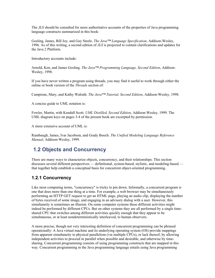The *JLS* should be consulted for more authoritative accounts of the properties of Java programming language constructs summarized in this book:

Gosling, James, Bill Joy, and Guy Steele. *The Java™ Language Specification*, Addison-Wesley, 1996. As of this writing, a second edition of *JLS* is projected to contain clarifications and updates for the Java 2 Platform.

Introductory accounts include:

Arnold, Ken, and James Gosling. *The Java™ Programming Language, Second Edition*, Addison-Wesley, 1998.

If you have never written a program using threads, you may find it useful to work through either the online or book version of the *Threads* section of:

Campione, Mary, and Kathy Walrath. *The Java™ Tutorial, Second Edition*, Addison-Wesley, 1998.

A concise guide to UML notation is:

Fowler, Martin, with Kendall Scott. *UML Distilled, Second Edition*, Addison-Wesley, 1999. The UML diagram keys on pages 3-4 of the present book are excerpted by permission.

A more extensive account of UML is:

Rumbaugh, James, Ivar Jacobson, and Grady Booch. *The Unified Modeling Language Reference Manual*, Addison-Wesley, 1999.

## **1.2 Objects and Concurrency**

There are many ways to characterize objects, concurrency, and their relationships. This section discusses several different perspectives — definitional, system-based, stylistic, and modeling-based that together help establish a conceptual basis for concurrent object-oriented programming.

## **1.2.1 Concurrency**

Like most computing terms, "concurrency" is tricky to pin down. Informally, a concurrent program is one that does more than one thing at a time. For example, a web browser may be simultaneously performing an HTTP GET request to get an HTML page, playing an audio clip, displaying the number of bytes received of some image, and engaging in an advisory dialog with a user. However, this simultaneity is sometimes an illusion. On some computer systems these different activities might indeed be performed by different CPUs. But on other systems they are all performed by a single timeshared CPU that switches among different activities quickly enough that they appear to be simultaneous, or at least nondeterministically interleaved, to human observers.

A more precise, though not very interesting definition of concurrent programming can be phrased operationally: A Java virtual machine and its underlying operating system (OS) provide mappings from apparent simultaneity to physical parallelism (via multiple CPUs), or lack thereof, by allowing independent activities to proceed in parallel when possible and desirable, and otherwise by timesharing. Concurrent programming consists of using programming constructs that are mapped in this way. Concurrent programming in the Java programming language entails using Java programming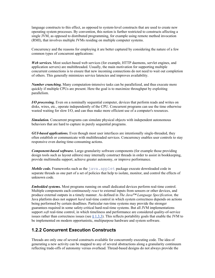language constructs to this effect, as opposed to system-level constructs that are used to create new operating system processes. By convention, this notion is further restricted to constructs affecting a single JVM, as opposed to distributed programming, for example using remote method invocation (RMI), that involves multiple JVMs residing on multiple computer systems.

Concurrency and the reasons for employing it are better captured by considering the nature of a few common types of concurrent applications:

*Web services.* Most socket-based web services (for example, HTTP daemons, servlet engines, and application servers) are multithreaded. Usually, the main motivation for supporting multiple concurrent connections is to ensure that new incoming connections do not need to wait out completion of others. This generally minimizes service latencies and improves availability.

*Number crunching.* Many computation-intensive tasks can be parallelized, and thus execute more quickly if multiple CPUs are present. Here the goal is to maximize throughput by exploiting parallelism.

*I/O processing.* Even on a nominally sequential computer, devices that perform reads and writes on disks, wires, etc., operate independently of the CPU. Concurrent programs can use the time otherwise wasted waiting for slow I/O, and can thus make more efficient use of a computer's resources.

*Simulation.* Concurrent programs can simulate physical objects with independent autonomous behaviors that are hard to capture in purely sequential programs.

*GUI-based applications.* Even though most user interfaces are intentionally single-threaded, they often establish or communicate with multithreaded services. Concurrency enables user controls to stay responsive even during time-consuming actions.

*Component-based software.* Large-granularity software components (for example those providing design tools such as layout editors) may internally construct threads in order to assist in bookkeeping, provide multimedia support, achieve greater autonomy, or improve performance.

*Mobile code*. Frameworks such as the java.applet package execute downloaded code in separate threads as one part of a set of policies that help to isolate, monitor, and control the effects of unknown code.

*Embedded systems.* Most programs running on small dedicated devices perform real-time control. Multiple components each continuously *react* to external inputs from sensors or other devices, and produce external outputs in a timely manner. As defined in *The Java™ Language Specification,* the Java platform does not support *hard* real-time control in which system correctness depends on actions being performed by certain deadlines. Particular run-time systems may provide the stronger guarantees required in some safety-critical hard-real-time systems. But all JVM implementations support *soft* real-time control, in which timeliness and performance are considered quality-of-service issues rather than correctness issues (see  $\S$  1.3.3). This reflects portability goals that enable the JVM to be implemented on modern opportunistic, multipurpose hardware and system software.

## **1.2.2 Concurrent Execution Constructs**

Threads are only one of several constructs available for concurrently executing code. The idea of generating a new activity can be mapped to any of several abstractions along a granularity continuum reflecting trade-offs of autonomy versus overhead. Thread-based designs do not always provide the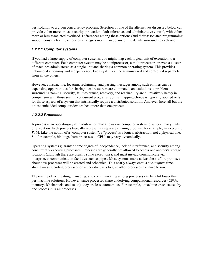best solution to a given concurrency problem. Selection of one of the alternatives discussed below can provide either more or less security, protection, fault-tolerance, and administrative control, with either more or less associated overhead. Differences among these options (and their associated programming support constructs) impact design strategies more than do any of the details surrounding each one.

#### *1.2.2.1 Computer systems*

If you had a large supply of computer systems, you might map each logical unit of execution to a different computer. Each computer system may be a uniprocessor, a multiprocessor, or even a cluster of machines administered as a single unit and sharing a common operating system. This provides unbounded autonomy and independence. Each system can be administered and controlled separately from all the others.

However, constructing, locating, reclaiming, and passing messages among such entities can be expensive, opportunities for sharing local resources are eliminated, and solutions to problems surrounding naming, security, fault-tolerance, recovery, and reachability are all relatively heavy in comparison with those seen in concurrent programs. So this mapping choice is typically applied only for those aspects of a system that intrinsically require a distributed solution. And even here, all but the tiniest embedded computer devices host more than one process.

#### *1.2.2.2 Processes*

A process is an operating-system abstraction that allows one computer system to support many units of execution. Each process typically represents a separate running program; for example, an executing JVM. Like the notion of a "computer system", a "process" is a logical abstraction, not a physical one. So, for example, bindings from processes to CPUs may vary dynamically.

Operating systems guarantee some degree of independence, lack of interference, and security among concurrently executing processes. Processes are generally not allowed to access one another's storage locations (although there are usually some exceptions), and must instead communicate via interprocess communication facilities such as pipes. Most systems make at least best-effort promises about how processes will be created and scheduled. This nearly always entails *pre-emptive* timeslicing — suspending processes on a periodic basis to give other processes a chance to run.

The overhead for creating, managing, and communicating among processes can be a lot lower than in per-machine solutions. However, since processes share underlying computational resources (CPUs, memory, IO channels, and so on), they are less autonomous. For example, a machine crash caused by one process kills all processes.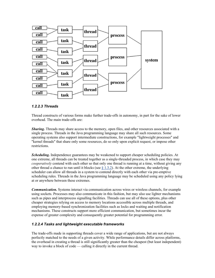

#### *1.2.2.3 Threads*

Thread constructs of various forms make further trade-offs in autonomy, in part for the sake of lower overhead. The main trade-offs are:

*Sharing.* Threads may share access to the memory, open files, and other resources associated with a single process. Threads in the Java programming language may share all such resources. Some operating systems also support intermediate constructions, for example "lightweight processes" and "kernel threads" that share only some resources, do so only upon explicit request, or impose other restrictions.

*Scheduling.* Independence guarantees may be weakened to support cheaper scheduling policies. At one extreme, all threads can be treated together as a single-threaded process, in which case they may *cooperatively* contend with each other so that only one thread is running at a time, without giving any other thread a chance to run until it blocks (see  $\S$  1.3.2). At the other extreme, the underlying scheduler can allow all threads in a system to contend directly with each other via pre-emptive scheduling rules. Threads in the Java programming language may be scheduled using any policy lying at or anywhere between these extremes.

*Communication.* Systems interact via communication across wires or wireless channels, for example using sockets. Processes may also communicate in this fashion, but may also use lighter mechanisms such as pipes and interprocess signalling facilities. Threads can use all of these options, plus other cheaper strategies relying on access to memory locations accessible across multiple threads, and employing memory-based synchronization facilities such as locks and waiting and notification mechanisms. These constructs support more efficient communication, but sometimes incur the expense of greater complexity and consequently greater potential for programming error.

#### *1.2.2.4 Tasks and lightweight executable frameworks*

The trade-offs made in supporting threads cover a wide range of applications, but are not always perfectly matched to the needs of a given activity. While performance details differ across platforms, the overhead in creating a thread is still significantly greater than the cheapest (but least independent) way to invoke a block of code — calling it directly in the current thread.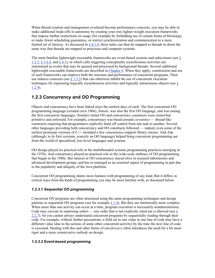When thread creation and management overhead become performance concerns, you may be able to make additional trade-offs in autonomy by creating your own lighter-weight execution frameworks that impose further restrictions on usage (for example by forbidding use of certain forms of blocking), or make fewer scheduling guarantees, or restrict synchronization and communication to a more limited set of choices. As discussed in  $\S 4.1.4$ , these tasks can then be mapped to threads in about the same way that threads are mapped to processes and computer systems.

The most familiar lightweight executable frameworks are event-based systems and subsystems (see § 1.2.3,  $\S 3.6.4$ , and  $\S 4.1$ ), in which calls triggering conceptually asynchronous activities are maintained as events that may be queued and processed by background threads. Several additional lightweight executable frameworks are described in Chapter 4. When they apply, construction and use of such frameworks can improve both the structure and performance of concurrent programs. Their use reduces concerns (see  $\S$  1.3.3) that can otherwise inhibit the use of concurrent execution techniques for expressing logically asynchronous activities and logically autonomous objects (see § 1.2.4).

## **1.2.3 Concurrency and OO Programming**

Objects and concurrency have been linked since the earliest days of each. The first concurrent OO programming language (created circa 1966), *Simula,* was also the first OO language, and was among the first concurrent languages. Simula's initial OO and concurrency constructs were somewhat primitive and awkward. For example, concurrency was based around *coroutines* — thread-like constructs requiring that programmers explicitly hand off control from one task to another. Several other languages providing both concurrency and OO constructs followed — indeed, even some of the earliest prototype versions of C++ included a few concurrency-support library classes. And Ada (although, in its first versions, scarcely an OO language) helped bring concurrent programming out from the world of specialized, low-level languages and systems.

OO design played no practical role in the multithreaded systems programming practices emerging in the 1970s. And concurrency played no practical role in the wide-scale embrace of OO programming that began in the 1980s. But interest in OO concurrency stayed alive in research laboratories and advanced development groups, and has re-emerged as an essential aspect of programming in part due to the popularity and ubiquity of the Java platform.

Concurrent OO programming shares most features with programming of any kind. But it differs in critical ways from the kinds of programming you may be most familiar with, as discussed below.

#### *1.2.3.1 Sequential OO programming*

Concurrent OO programs are often structured using the same programming techniques and design patterns as sequential OO programs (see for example § 1.4). But they are intrinsically more complex. When more than one activity can occur at a time, program execution is necessarily nondeterministic. Code may execute in surprising orders — any order that is not explicitly ruled out is allowed (see  $\S$ ) 2.2.7). So you cannot always understand concurrent programs by sequentially reading through their code. For example, without further precautions, a field set to one value in one line of code may have a different value (due to the actions of some other concurrent activity) by the time the next line of code is executed. Dealing with this and other forms of *interference* often introduces the need for a bit more rigor and a more conservative outlook on design.

#### *1.2.3.2 Event-based programming*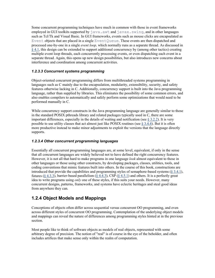Some concurrent programming techniques have much in common with those in event frameworks employed in GUI toolkits supported by  $\forall x \in A$  and  $\forall y \in A$ . swing, and in other languages such as Tcl/Tk and Visual Basic. In GUI frameworks, events such as mouse clicks are encapsulated as Event objects that are placed in a single EventQueue. These events are then dispatched and processed one-by-one in a single *event loop,* which normally runs as a separate thread. As discussed in  $§$  4.1, this design can be extended to support additional concurrency by (among other tactics) creating multiple event loop threads, each concurrently processing events, or even dispatching each event in a separate thread. Again, this opens up new design possibilities, but also introduces new concerns about interference and coordination among concurrent activities.

#### *1.2.3.3 Concurrent systems programming*

Object-oriented concurrent programming differs from multithreaded systems programming in languages such as C mainly due to the encapsulation, modularity, extensibility, security, and safety features otherwise lacking in C. Additionally, concurrency support is built into the Java programming language, rather than supplied by libraries. This eliminates the possibility of some common errors, and also enables compilers to automatically and safely perform some optimizations that would need to be performed manually in C.

While concurrency support constructs in the Java programming language are generally similar to those in the standard POSIX pthreads library and related packages typically used in C, there are some important differences, especially in the details of waiting and notification (see  $\S 3.2.2$ ). It is very possible to use utility classes that act almost just like POSIX routines (see  $\S$  3.4.4). But it is often more productive instead to make minor adjustments to exploit the versions that the language directly supports.

#### *1.2.3.4 Other concurrent programming languages*

Essentially all concurrent programming languages are, at some level, equivalent, if only in the sense that all concurrent languages are widely believed not to have defined the right concurrency features. However, it is not all that hard to make programs in one language *look* almost equivalent to those in other languages or those using other constructs, by developing packages, classes, utilities, tools, and coding conventions that mimic features built into others. In the course of this book, constructions are introduced that provide the capabilities and programming styles of semaphore-based systems  $(\S 3.4.1)$ , futures (§ 4.3.3), barrier-based parallelism (§ 4.4.3), CSP (§ 4.5.1) and others. It is a perfectly great idea to write programs using *only* one of these styles, if this suits your needs. However, many concurrent designs, patterns, frameworks, and systems have eclectic heritages and steal good ideas from anywhere they can.

## **1.2.4 Object Models and Mappings**

Conceptions of objects often differ across sequential versus concurrent OO programming, and even across different styles of concurrent OO programming. Contemplation of the underlying object models and mappings can reveal the nature of differences among programming styles hinted at in the previous section.

Most people like to think of software objects as models of real objects, represented with some arbitrary degree of precision. The notion of "real" is of course in the eye of the beholder, and often includes artifices that make sense only within the realm of computation.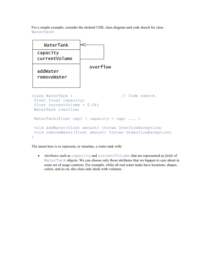For a simple example, consider the skeletal UML class diagram and code sketch for class WaterTank:



The intent here is to represent, or simulate, a water tank with:

• *Attributes* such as capacity and currentVolume, that are represented as *fields* of WaterTank objects. We can choose only those attributes that we happen to care about in some set of usage contexts. For example, while all real water tanks have locations, shapes, colors, and so on, this class only deals with volumes.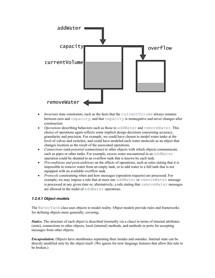

- *Invariant* state constraints, such as the facts that the current Volume always remains between zero and capacity, and that capacity is nonnegative and never changes after construction.
- *Operations* describing behaviors such as those to addWater and removeWater. This choice of operations again reflects some implicit design decisions concerning accuracy, granularity and precision. For example, we could have chosen to model water tanks at the level of valves and switches, and could have modeled each water molecule as an object that changes location as the result of the associated operations.
- *Connections* (and *potential* connections) to other objects with which objects communicate, such as pipes or other tanks. For example, excess water encountered in an  $addWater$ operation could be shunted to an overflow tank that is known by each tank.
- *Preconditions and postconditions* on the effects of operations, such as rules stating that it is impossible to remove water from an empty tank, or to add water to a full tank that is not equipped with an available overflow tank.
- *Protocols* constraining when and how messages (operation requests) are processed. For example, we may impose a rule that at most one addWater or removeWater message is processed at any given time or, alternatively, a rule stating that  $\gamma$  enove Water messages are allowed in the midst of addWater operations.

#### *1.2.4.1 Object models*

The WaterTank class uses objects to model reality. Object models provide rules and frameworks for defining objects more generally, covering:

*Statics.* The structure of each object is described (normally via a class) in terms of internal attributes (state), connections to other objects, local (internal) methods, and methods or ports for accepting messages from other objects.

*Encapsulation.* Objects have membranes separating their insides and outsides. Internal state can be directly modified only by the object itself. (We ignore for now language features that allow this rule to be broken.)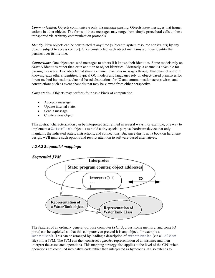*Communication.* Objects communicate only via message passing. Objects issue messages that trigger actions in other objects. The forms of these messages may range from simple procedural calls to those transported via arbitrary communication protocols.

*Identity*. New objects can be constructed at any time (subject to system resource constraints) by any object (subject to access control). Once constructed, each object maintains a unique identity that persists over its lifetime.

*Connections.* One object can send messages to others if it knows their identities. Some models rely on *channel* identities rather than or in addition to object identities. Abstractly, a channel is a vehicle for passing messages. Two objects that share a channel may pass messages through that channel without knowing each other's identities. Typical OO models and languages rely on object-based primitives for direct method invocations, channel-based abstractions for IO and communication across wires, and constructions such as event channels that may be viewed from either perspective.

*Computation.* Objects may perform four basic kinds of computation:

- Accept a message.
- Update internal state.
- Send a message.
- Create a new object.

This abstract characterization can be interpreted and refined in several ways. For example, one way to implement a WaterTank object is to build a tiny special-purpose hardware device that only maintains the indicated states, instructions, and connections. But since this is not a book on hardware design, we'll ignore such options and restrict attention to software-based alternatives.

#### *1.2.4.2 Sequential mappings*



The features of an ordinary general-purpose computer (a CPU, a bus, some memory, and some IO ports) can be exploited so that this computer can pretend it is any object, for example a WaterTank. This can be arranged by loading a description of WaterTanks (via a .class file) into a JVM. The JVM can then construct a *passive* representation of an instance and then interpret the associated operations. This mapping strategy also applies at the level of the CPU when operations are compiled into native code rather than interpreted as bytecodes. It also extends to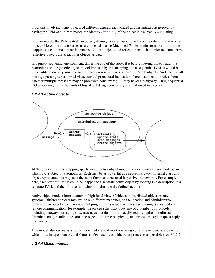programs involving many objects of different classes, each loaded and instantiated as needed, by having the JVM at all times record the identity ("this") of the object it is currently simulating.

In other words, the JVM is itself an object, although a very special one that can pretend it is any other object. (More formally, it serves as a Universal Turing Machine.) While similar remarks hold for the mappings used in most other languages, Class objects and reflection make it simpler to characterize reflective objects that treat other objects as data.

In a purely sequential environment, this is the end of the story. But before moving on, consider the restrictions on the generic object model imposed by this mapping. On a sequential JVM, it would be impossible to directly simulate multiple concurrent interacting waterTank objects. And because all message-passing is performed via sequential procedural invocation, there is no need for rules about whether multiple messages may be processed concurrently — they never are anyway. Thus, sequential OO processing limits the kinds of high-level design concerns you are allowed to express.

#### *1.2.4.3 Active objects*



At the other end of the mapping spectrum are *active* object models (also known as *actor* models), in which *every* object is autonomous. Each may be as powerful as a sequential JVM. Internal class and object representations may take the same forms as those used in passive frameworks. For example here, each waterTank could be mapped to a separate active object by loading in a description to a separate JVM, and then forever allowing it to simulate the defined actions.

Active object models form a common high-level view of objects in distributed object-oriented systems: Different objects may reside on different machines, so the location and administrative domain of an object are often important programming issues. All message passing is arranged via remote communication (for example via sockets) that may obey any of a number of protocols, including oneway messaging (i.e., messages that do not intrinsically require replies), multicasts (simultaneously sending the same message to multiple recipients), and procedure-style request-reply exchanges.

This model also serves as an object-oriented view of most operating-system-level *processes,* each of which is as independent of, and shares as few resources with, other processes as possible (see  $\S$  1.2.2).

#### *1.2.4.4 Mixed models*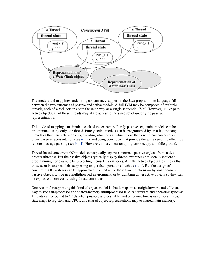

The models and mappings underlying concurrency support in the Java programming language fall between the two extremes of passive and active models. A full JVM may be composed of multiple threads, each of which acts in about the same way as a single sequential JVM. However, unlike pure active objects, all of these threads may share access to the same set of underlying passive representations.

This style of mapping can simulate each of the extremes. Purely passive sequential models can be programmed using only one thread. Purely active models can be programmed by creating as many threads as there are active objects, avoiding situations in which more than one thread can access a given passive representation (see  $\S 2.3$ ), and using constructs that provide the same semantic effects as remote message passing (see  $\S$  4.1). However, most concurrent programs occupy a middle ground.

Thread-based concurrent OO models conceptually separate "normal" passive objects from active objects (threads). But the passive objects typically display thread-awareness not seen in sequential programming, for example by protecting themselves via locks. And the active objects are simpler than those seen in actor models, supporting only a few operations (such as run). But the design of concurrent OO systems can be approached from either of these two directions — by smartening up passive objects to live in a multithreaded environment, or by dumbing down active objects so they can be expressed more easily using thread constructs.

One reason for supporting this kind of object model is that it maps in a straightforward and efficient way to stock uniprocessor and shared-memory multiprocessor (SMP) hardware and operating systems: Threads can be bound to CPUs when possible and desirable, and otherwise time-shared; local thread state maps to registers and CPUs; and shared object representations map to shared main memory.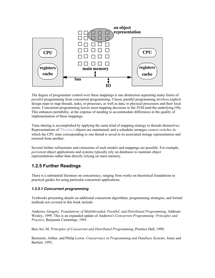

The degree of programmer control over these mappings is one distinction separating many forms of *parallel* programming from concurrent programming. Classic parallel programming involves explicit design steps to map threads, tasks, or processes, as well as data, to physical processors and their local stores. Concurrent programming leaves most mapping decisions to the JVM (and the underlying OS). This enhances portability, at the expense of needing to accommodate differences in the quality of implementation of these mappings.

Time-sharing is accomplished by applying the same kind of mapping strategy to threads themselves: Representations of Thread objects are maintained, and a scheduler arranges *context switches* in which the CPU state corresponding to one thread is saved in its associated storage representation and restored from another.

Several further refinements and extensions of such models and mappings are possible. For example, *persistent* object applications and systems typically rely on databases to maintain object representations rather than directly relying on main memory.

## **1.2.5 Further Readings**

There is a substantial literature on concurrency, ranging from works on theoretical foundations to practical guides for using particular concurrent applications.

#### *1.2.5.1 Concurrent programming*

Textbooks presenting details on additional concurrent algorithms, programming strategies, and formal methods not covered in this book include:

Andrews, Gregory. *Foundations of Multithreaded, Parallel, and Distributed Programming*, Addison-Wesley, 1999. This is an expanded update of Andrews's *Concurrent Programming: Principles and Practice*, Benjamin Cummings, 1991.

Ben-Ari, M. *Principles of Concurrent and Distributed Programming*, Prentice Hall, 1990.

Bernstein, Arthur, and Philip Lewis. *Concurrency in Programming and Database Systems*, Jones and Bartlett, 1993.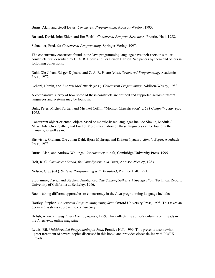Burns, Alan, and Geoff Davis. *Concurrent Programming*, Addison-Wesley, 1993.

Bustard, David, John Elder, and Jim Welsh. *Concurrent Program Structures*, Prentice Hall, 1988.

Schneider, Fred. *On Concurrent Programming*, Springer-Verlag, 1997.

The concurrency constructs found in the Java programming language have their roots in similar constructs first described by C. A. R. Hoare and Per Brinch Hansen. See papers by them and others in following collections:

Dahl, Ole-Johan, Edsger Dijkstra, and C. A. R. Hoare (eds.). *Structured Programming*, Academic Press, 1972.

Gehani, Narain, and Andrew McGettrick (eds.). *Concurrent Programming*, Addison-Wesley, 1988.

A comparative survey of how some of these constructs are defined and supported across different languages and systems may be found in:

Buhr, Peter, Michel Fortier, and Michael Coffin. "Monitor Classification", *ACM Computing Surveys*, 1995.

Concurrent object-oriented, object-based or module-based languages include Simula, Modula-3, Mesa, Ada, Orca, Sather, and Euclid. More information on these languages can be found in their manuals, as well as in:

Birtwistle, Graham, Ole-Johan Dahl, Bjorn Myhrtag, and Kristen Nygaard. *Simula Begin*, Auerbach Press, 1973.

Burns, Alan, and Andrew Wellings. *Concurrency in Ada*, Cambridge University Press, 1995.

Holt, R. C. *Concurrent Euclid, the Unix System, and Tunis*, Addison-Wesley, 1983.

Nelson, Greg (ed.). *Systems Programming with Modula-3*, Prentice Hall, 1991.

Stoutamire, David, and Stephen Omohundro. *The Sather/pSather 1.1 Specification*, Technical Report, University of California at Berkeley, 1996.

Books taking different approaches to concurrency in the Java programming language include:

Hartley, Stephen. *Concurrent Programming using Java*, Oxford University Press, 1998. This takes an operating systems approach to concurrency.

Holub, Allen. *Taming Java Threads*, Apress, 1999. This collects the author's columns on threads in the *JavaWorld* online magazine.

Lewis, Bil. *Multithreaded Programming in Java*, Prentice Hall, 1999. This presents a somewhat lighter treatment of several topics discussed in this book, and provides closer tie-ins with POSIX threads.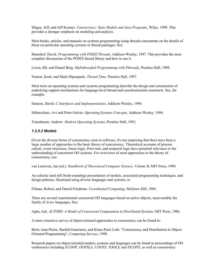Magee, Jeff, and Jeff Kramer. *Concurrency: State Models and Java Programs*, Wiley, 1999. This provides a stronger emphasis on modeling and analysis.

Most books, articles, and manuals on systems programming using threads concentrate on the details of those on particular operating systems or thread packages. See:

Butenhof, David. *Programming with POSIX Threads*, Addison-Wesley, 1997. This provides the most complete discussions of the POSIX thread library and how to use it.

Lewis, Bil, and Daniel Berg. *Multithreaded Programming with Pthreads*, Prentice Hall, 1998.

Norton, Scott, and Mark Dipasquale. *Thread Time,* Prentice Hall, 1997.

Most texts on operating systems and systems programming describe the design and construction of underlying support mechanisms for language-level thread and synchronization constructs. See, for example:

Hanson, David. *C Interfaces and Implementations*, Addison-Wesley, 1996.

Silberschatz, Avi and Peter Galvin. *Operating Systems Concepts*, Addison-Wesley, 1994.

Tanenbaum, Andrew. *Modern Operating Systems*, Prentice Hall, 1992.

#### *1.2.5.2 Models*

Given the diverse forms of concurrency seen in software, it's not surprising that there have been a large number of approaches to the basic theory of concurrency. Theoretical accounts of process calculi, event structures, linear logic, Petri nets, and temporal logic have potential relevance to the understanding of concurrent OO systems. For overviews of most approaches to the theory of concurrency, see:

van Leeuwen, Jan (ed.). *Handbook of Theoretical Computer Science, Volume B*, MIT Press, 1990.

An eclectic (and still fresh-sounding) presentation of models, associated programming techniques, and design patterns, illustrated using diverse languages and systems, is:

Filman, Robert, and Daniel Friedman. *Coordinated Computing*. McGraw-Hill, 1984.

There are several experimental concurrent OO languages based on active objects, most notably the family of *Actor* languages. See:

Agha, Gul. *ACTORS: A Model of Concurrent Computation in Distributed Systems*, MIT Press, 1986.

A more extensive survey of object-oriented approaches to concurrency can be found in:

Briot, Jean-Pierre, Rachid Guerraoui, and Klaus-Peter Lohr. "Concurrency and Distribution in Object-Oriented Programming", *Computing Surveys*, 1998.

Research papers on object-oriented models, systems and languages can be found in proceedings of OO conferences including *ECOOP, OOPSLA, COOTS, TOOLS,* and *ISCOPE,* as well as concurrency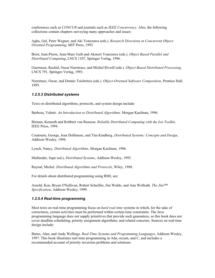conferences such as *CONCUR* and journals such as *IEEE Concurrency.* Also, the following collections contain chapters surveying many approaches and issues:

Agha, Gul, Peter Wegner, and Aki Yonezawa (eds.). *Research Directions in Concurrent Object-Oriented Programming*, MIT Press, 1993.

Briot, Jean-Pierre, Jean-Marc Geib and Akinori Yonezawa (eds.). *Object Based Parallel and Distributed Computing*, LNCS 1107, Springer Verlag, 1996.

Guerraoui, Rachid, Oscar Nierstrasz, and Michel Riveill (eds.). *Object-Based Distributed Processing*, LNCS 791, Springer-Verlag, 1993.

Nierstrasz, Oscar, and Dennis Tsichritzis (eds.). *Object-Oriented Software Composition*, Prentice Hall, 1995.

#### *1.2.5.3 Distributed systems*

Texts on distributed algorithms, protocols, and system design include:

Barbosa, Valmir. *An Introduction to Distributed Algorithms*. Morgan Kaufman, 1996.

Birman, Kenneth and Robbert von Renesse. *Reliable Distributed Computing with the Isis Toolkit*, IEEE Press, 1994.

Coulouris, George, Jean Dollimore, and Tim Kindberg. *Distributed Systems: Concepts and Design*, Addison-Wesley, 1994.

Lynch, Nancy. *Distributed Algorithms*, Morgan Kaufman, 1996.

Mullender, Sape (ed.), *Distributed Systems*, Addison-Wesley, 1993.

Raynal, Michel. *Distributed Algorithms and Protocols*, Wiley, 1988.

For details about distributed programming using RMI, see:

Arnold, Ken, Bryan O'Sullivan, Robert Scheifler, Jim Waldo, and Ann Wollrath. *The Jini™ Specification*, Addison-Wesley, 1999.

#### *1.2.5.4 Real-time programming*

Most texts on real-time programming focus on *hard real-time* systems in which, for the sake of correctness, certain activities must be performed within certain time constraints. The Java programming language does not supply primitives that provide such guarantees, so this book does not cover deadline scheduling, priority assignment algorithms, and related concerns. Sources on real-time design include:

Burns, Alan, and Andy Wellings. *Real-Time Systems and Programming Languages*, Addison-Wesley, 1997. This book illustrates real-time programming in Ada, occam, and C, and includes a recommended account of priority inversion problems and solutions.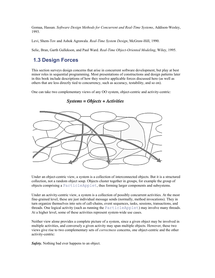Gomaa, Hassan. *Software Design Methods for Concurrent and Real-Time Systems*, Addison-Wesley, 1993.

Levi, Shem-Tov and Ashok Agrawala. *Real-Time System Design*, McGraw-Hill, 1990.

Selic, Bran, Garth Gullekson, and Paul Ward. *Real-Time Object-Oriented Modeling*, Wiley, 1995.

## **1.3 Design Forces**

This section surveys design concerns that arise in concurrent software development, but play at best minor roles in sequential programming. Most presentations of constructions and design patterns later in this book include descriptions of how they resolve applicable forces discussed here (as well as others that are less directly tied to concurrency, such as accuracy, testability, and so on).

One can take two complementary views of any OO system, object-centric and activity-centric:



 $S$ *vstems* =  $Obiects + Activities$ 

Under an object-centric view, a system is a collection of interconnected objects. But it is a structured collection, not a random object soup. Objects cluster together in groups, for example the group of objects comprising a ParticleApplet, thus forming larger components and subsystems.

Under an activity-centric view, a system is a collection of possibly concurrent activities. At the most fine-grained level, these are just individual message sends (normally, method invocations). They in turn organize themselves into sets of call-chains, event sequences, tasks, sessions, transactions, and threads. One logical activity (such as running the ParticleApplet) may involve many threads. At a higher level, some of these activities represent system-wide use cases.

Neither view alone provides a complete picture of a system, since a given object may be involved in multiple activities, and conversely a given activity may span multiple objects. However, these two views give rise to two complementary sets of *correctness* concerns, one object-centric and the other activity-centric:

*Safety*. Nothing bad ever happens to an object.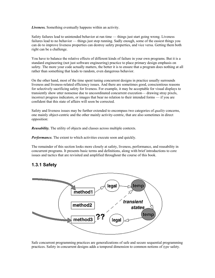*Liveness.* Something eventually happens within an activity.

Safety failures lead to unintended behavior at run time — things just start going wrong. Liveness failures lead to no behavior — things just stop running. Sadly enough, some of the easiest things you can do to improve liveness properties can destroy safety properties, and vice versa. Getting them both right can be a challenge.

You have to balance the relative effects of different kinds of failure in your own programs. But it is a standard engineering (not just software engineering) practice to place primary design emphasis on safety. The more your code actually matters, the better it is to ensure that a program does nothing at all rather than something that leads to random, even dangerous behavior.

On the other hand, most of the time spent tuning concurrent designs in practice usually surrounds liveness and liveness-related efficiency issues. And there are sometimes good, conscientious reasons for selectively sacrificing safety for liveness. For example, it may be acceptable for visual displays to transiently show utter nonsense due to uncoordinated concurrent execution— drawing stray pixels, incorrect progress indicators, or images that bear no relation to their intended forms — if you are confident that this state of affairs will soon be corrected.

Safety and liveness issues may be further extended to encompass two categories of *quality* concerns, one mainly object-centric and the other mainly activity-centric, that are also sometimes in direct opposition:

*Reusability.* The utility of objects and classes across multiple contexts.

*Performance*. The extent to which activities execute soon and quickly.

The remainder of this section looks more closely at safety, liveness, performance, and reusability in concurrent programs. It presents basic terms and definitions, along with brief introductions to core issues and tactics that are revisited and amplified throughout the course of this book.

#### **1.3.1 Safety**



Safe concurrent programming practices are generalizations of safe and secure sequential programming practices. Safety in concurrent designs adds a temporal dimension to common notions of *type* safety.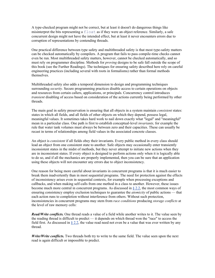A type-checked program might not be correct, but at least it doesn't do dangerous things like misinterpret the bits representing a  $f$ loat as if they were an object reference. Similarly, a safe concurrent design might not have the intended effect, but at least it never encounters errors due to corruption of representations by contending threads.

One practical difference between type safety and multithreaded safety is that most type-safety matters can be checked automatically by compilers. A program that fails to pass compile-time checks cannot even be run. Most multithreaded safety matters, however, cannot be checked automatically, and so must rely on programmer discipline. Methods for *proving* designs to be safe fall outside the scope of this book (see the Further Readings). The techniques for ensuring safety described here rely on careful engineering practices (including several with roots in formalisms) rather than formal methods themselves.

Multithreaded safety also adds a temporal dimension to design and programming techniques surrounding *security.* Secure programming practices disable access to certain operations on objects and resources from certain callers, applications, or principals. Concurrency control introduces *transient* disabling of access based on consideration of the actions currently being performed by other threads.

The main goal in safety preservation is ensuring that all objects in a system maintain *consistent* states: states in which all fields, and all fields of other objects on which they depend, possess legal, meaningful values. It sometimes takes hard work to nail down exactly what "legal" and "meaningful" mean in a particular class. One path is first to establish conceptual-level *invariants,* for example the rule that water tank volumes must always be between zero and their capacities. These can usually be recast in terms of relationships among field values in the associated concrete classes.

An object is *consistent* if all fields obey their invariants. Every public method in every class should lead an object from one consistent state to another. Safe objects may occasionally enter transiently inconsistent states in the midst of methods, but they never attempt to initiate new actions when they are in inconsistent states. If every object is designed to perform actions only when it is logically able to do so, and if all the mechanics are properly implemented, then you can be sure that an application using these objects will not encounter any errors due to object inconsistency.

One reason for being more careful about invariants in concurrent programs is that it is much easier to break them inadvertently than in most sequential programs. The need for protection against the effects of inconsistency arises even in sequential contexts, for example when processing exceptions and callbacks, and when making self-calls from one method in a class to another. However, these issues become much more central in concurrent programs. As discussed in  $\S 2.2$ , the most common ways of ensuring consistency employ exclusion techniques to guarantee the *atomicity* of public actions — that each action runs to completion without interference from others. Without such protection, inconsistencies in concurrent programs may stem from *race conditions* producing *storage conflicts* at the level of raw memory cells:

*Read/Write conflicts*. One thread reads a value of a field while another writes to it. The value seen by the reading thread is difficult to predict — it depends on which thread won the "race" to access the field first. As discussed in  $\S 2.2$ , the value read need not even be a value that was ever written by any thread.

*Write/Write conflicts.* Two threads both try to write to the same field. The value seen upon the next read is again difficult or impossible to predict.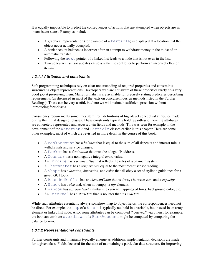It is equally impossible to predict the consequences of actions that are attempted when objects are in inconsistent states. Examples include:

- A graphical representation (for example of a  $Particle$ ) is displayed at a location that the object never actually occupied.
- A bank account balance is incorrect after an attempt to withdraw money in the midst of an automatic transfer.
- Following the next pointer of a linked list leads to a node that is not even in the list.
- Two concurrent sensor updates cause a real-time controller to perform an incorrect effector action.

#### *1.3.1.1 Attributes and constraints*

Safe programming techniques rely on clear understanding of required properties and constraints surrounding object representations. Developers who are not aware of these properties rarely do a very good job at preserving them. Many formalisms are available for precisely stating predicates describing requirements (as discussed in most of the texts on concurrent design methods listed in the Further Readings). These can be very useful, but here we will maintain sufficient precision without introducing formalisms.

Consistency requirements sometimes stem from definitions of high-level conceptual attributes made during the initial design of classes. These constraints typically hold regardless of how the attributes are concretely represented and accessed via fields and methods. This was seen for example in the development of the WaterTank and Particle classes earlier in this chapter. Here are some other examples, most of which are revisited in more detail in the course of this book:

- A BankAccount has a *balance* that is equal to the sum of all deposits and interest minus withdrawals and service charges.
- A Packet has a *destination* that must be a legal IP address.
- A Counter has a nonnegative integral *count* value.
- An Invoice has a *paymentDue* that reflects the rules of a payment system.
- A Thermostat has a *temperature* equal to the most recent sensor reading.
- A Shape has a *location, dimension,* and *color* that all obey a set of stylistic guidelines for a given GUI toolkit.
- A BoundedBuffer has an *elementCount* that is always between zero and a *capacity.*
- A Stack has a *size* and, when not empty, a *top* element.
- A Window has a *propertySet* maintaining current mappings of fonts, background color, etc.
- An Interval has a *startDate* that is no later than its *endDate.*

While such attributes essentially always somehow map to object fields, the correspondences need not be direct. For example, the top of a Stack is typically not held in a variable, but instead in an array element or linked list node. Also, some attributes can be computed ("derived") via others; for example, the boolean attribute overdrawn of a BankAccount might be computed by comparing the balance to zero.

#### *1.3.1.2 Representational constraints*

Further constraints and invariants typically emerge as additional implementation decisions are made for a given class. Fields declared for the sake of maintaining a particular data structure, for improving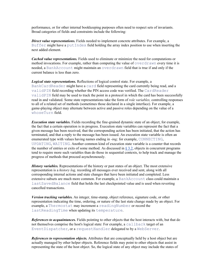performance, or for other internal bookkeeping purposes often need to respect sets of invariants. Broad categories of fields and constraints include the following:

*Direct value representations.* Fields needed to implement concrete attributes. For example, a Buffer might have a putIndex field holding the array index position to use when inserting the next added element.

*Cached value representations.* Fields used to eliminate or minimize the need for computations or method invocations. For example, rather than computing the value of overdrawn every time it is needed, a BankAccount might maintain an overdrawn field that is true if and only if the current balance is less than zero.

*Logical state representations.* Reflections of logical control state. For example, a BankCardReader might have a card field representing the card currently being read, and a validPIN field recording whether the PIN access code was verified. The CardReader validPIN field may be used to track the point in a protocol in which the card has been successfully read in and validated. Some state representations take the form of *role variables,* controlling responses to all of a related set of methods (sometimes those declared in a single interface). For example, a game-playing object may alternate between active and passive roles depending on the value of a whoseTurn field.

*Execution state variables.* Fields recording the fine-grained dynamic state of an object, for example, the fact that a certain operation is in progress. Execution state variables can represent the fact that a given message has been received, that the corresponding action has been initiated, that the action has terminated, and that a reply to the message has been issued. An execution state variable is often an enumerated type with values having names ending in *-ing;* for example, CONNECTING, UPDATING, WAITING. Another common kind of execution state variable is a counter that records the number of entries or exits of some method. As discussed in  $\S 3.2$ , objects in concurrent programs tend to require more such variables than do those in sequential contexts, to help track and manage the progress of methods that proceed asynchronously.

*History variables.* Representations of the history or past states of an object. The most extensive representation is a *history log,* recording all messages ever received and sent, along with all corresponding internal actions and state changes that have been initiated and completed. Less extensive subsets are much more common. For example, a BankAccount class could maintain a lastSavedBalance field that holds the last checkpointed value and is used when reverting cancelled transactions.

*Version tracking variables.* An integer, time-stamp, object reference, signature code, or other representation indicating the time, ordering, or nature of the last state change made by an object. For example, a Thermostat may increment a readingNumber or record the lastReadingTime when updating its temperature.

*References to acquaintances.* Fields pointing to other objects that the host interacts with, but that do not themselves comprise the host's logical state: For example, a callback target of an EventDispatcher, or a requestHandler delegated to by a WebServer.

*References to representation objects.* Attributes that are conceptually held by a host object but are actually managed by other helper objects. Reference fields may point to other objects that assist in representing the state of the host object. So, the logical state of any object may include the states of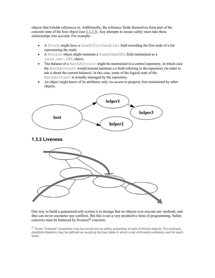objects that it holds references to. Additionally, the reference fields themselves form part of the concrete state of the host object (see  $\S$  2.3.3). Any attempts to ensure safety must take these relationships into account. For example:

- A Stack might have a headOfLinkedList field recording the first node of a list representing the stack.
- A Person object might maintain a homePageURL field maintained as a java.net.URL object.
- The balance of a BankAccount might be maintained in a central repository, in which case the BankAccount would instead maintain a a field referring to the repository (in order to ask it about the current balance). In this case, some of the logical state of the BankAccount is actually managed by the repository.
- An object might know of its attributes only via access to property lists maintained by other objects.



### **1.3.2 Liveness**



One way to build a guaranteed safe system is to arrange that no objects ever execute any methods, and thus can never encounter any conflicts. But this is not a very productive form of programming. Safety concerns must be balanced by liveness $\frac{11}{2}$  concerns.

<sup>[1]</sup> Some "liveness" properties may be construed as safety properties of sets of thread objects. For example, deadlock-freedom may be defined as avoiding the bad state in which a set of threads endlessly wait for each other.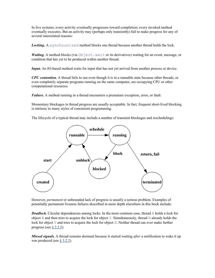In live systems, every activity eventually progresses toward completion; every invoked method eventually executes. But an activity may (perhaps only transiently) fail to make progress for any of several interrelated reasons:

*Locking.* A synchronized method blocks one thread because another thread holds the lock.

*Waiting.* A method blocks (via Object.wait or its derivatives) waiting for an event, message, or condition that has yet to be produced within another thread.

*Input.* An IO-based method waits for input that has not yet arrived from another process or device.

*CPU contention.* A thread fails to run even though it is in a runnable state because other threads, or even completely separate programs running on the same computer, are occupying CPU or other computational resources.

*Failure.* A method running in a thread encounters a premature exception, error, or fault.

Momentary blockages in thread progress are usually acceptable. In fact, frequent short-lived blocking is intrinsic to many styles of concurrent programming.

The lifecycle of a typical thread may include a number of transient blockages and reschedulings:



However, *permanent* or unbounded lack of progress is usually a serious problem. Examples of potentially permanent liveness failures described in more depth elsewhere in this book include:

*Deadlock.* Circular dependencies among locks. In the most common case, thread A holds a lock for object  $X$  and then tries to acquire the lock for object  $Y$ . Simultaneously, thread  $B$  already holds the lock for object Y and tries to acquire the lock for object X. Neither thread can ever make further progress (see  $\S$  2.2.5).

*Missed signals.* A thread remains dormant because it started waiting *after* a notification to wake it up was produced (see  $\S$  3.2.2).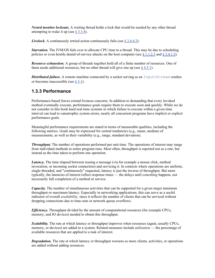*Nested monitor lockouts.* A waiting thread holds a lock that would be needed by any other thread attempting to wake it up (see § 3.3.4).

*Livelock.* A continuously retried action continuously fails (see § 2.4.4.2).

*Starvation.* The JVM/OS fails ever to allocate CPU time to a thread. This may be due to scheduling policies or even hostile denial-of-service attacks on the host computer (see  $\S 1.1.2.3$  and  $\S 3.4.1.5$ ).

*Resource exhaustion.* A group of threads together hold all of a finite number of resources. One of them needs additional resources, but no other thread will give one up (see  $\S$  4.5.1).

**Distributed failure.** A remote machine connected by a socket serving as an InputStream crashes or becomes inaccessible (see  $\S$  3.1).

#### **1.3.3 Performance**

Performance-based forces extend liveness concerns. In addition to demanding that every invoked method eventually execute, performance goals require them to execute soon and quickly. While we do not consider in this book hard real-time systems in which failure to execute within a given time interval can lead to catastrophic system errors, nearly all concurrent programs have implicit or explicit performance goals.

Meaningful performance requirements are stated in terms of measurable qualities, including the following metrics. Goals may be expressed for central tendencies (e.g., mean, median) of measurements, as well as their variability (e.g., range, standard deviation).

*Throughput.* The number of operations performed per unit time. The operations of interest may range from individual methods to entire program runs. Most often, throughput is reported not as a rate, but instead as the time taken to perform one operation.

*Latency*. The time elapsed between issuing a message (via for example a mouse click, method invocation, or incoming socket connection) and servicing it. In contexts where operations are uniform, single-threaded, and "continuously" requested, latency is just the inverse of throughput. But more typically, the latencies of interest reflect response times — the delays until *something* happens, not necessarily full completion of a method or service.

*Capacity*. The number of simultaneous activities that can be supported for a given target minimum throughput or maximum latency. Especially in networking applications, this can serve as a useful indicator of overall *availability,* since it reflects the number of clients that can be serviced without dropping connections due to time-outs or network queue overflows.

*Efficiency.* Throughput divided by the amount of computational resources (for example CPUs, memory, and IO devices) needed to obtain this throughput.

*Scalability.* The rate at which latency or throughput improves when resources (again, usually CPUs, memory, or devices) are added to a system. Related measures include *utilization* — the percentage of available resources that are applied to a task of interest.

*Degradation.* The rate at which latency or throughput worsens as more clients, activities, or operations are added without adding resources.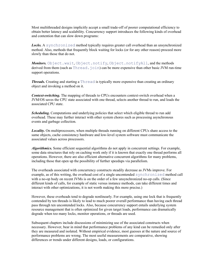Most multithreaded designs implicitly accept a small trade-off of poorer computational efficiency to obtain better latency and scalability. Concurrency support introduces the following kinds of overhead and contention that can slow down programs:

**Locks.** A synchronized method typically requires greater call overhead than an unsynchronized method. Also, methods that frequently block waiting for locks (or for any other reason) proceed more slowly than those that do not.

*Monitors.* Object.wait, Object.notify, Object.notifyAll, and the methods derived from them (such as  $Thread.join)$  can be more expensive than other basic JVM run-time support operations.

*Threads.* Creating and starting a  $Thread$  is typically more expensive than creating an ordinary object and invoking a method on it.

*Context-switching.* The mapping of threads to CPUs encounters context-switch overhead when a JVM/OS saves the CPU state associated with one thread, selects another thread to run, and loads the associated CPU state.

**Scheduling.** Computations and underlying policies that select which eligible thread to run add overhead. These may further interact with other system chores such as processing asynchronous events and garbage collection.

*Locality.* On multiprocessors, when multiple threads running on different CPUs share access to the same objects, cache consistency hardware and low-level system software must communicate the associated values across processors.

*Algorithmics.* Some efficient sequential algorithms do not apply in concurrent settings. For example, some data structures that rely on caching work only if it is known that exactly one thread performs all operations. However, there are also efficient alternative concurrent algorithms for many problems, including those that open up the possibility of further speedups via parallelism.

The overheads associated with concurrency constructs steadily decrease as JVMs improve. For example, as of this writing, the overhead cost of a single uncontended synchronized method call with a no-op body on recent JVMs is on the order of a few unsynchronized no-op calls. (Since different kinds of calls, for example of static versus instance methods, can take different times and interact with other optimizations, it is not worth making this more precise.)

However, these overheads tend to degrade nonlinearly. For example, using one lock that is frequently contended by ten threads is likely to lead to much poorer overall performance than having each thread pass through ten uncontended locks. Also, because concurrency support entails underlying system resource management that is often optimized for given target loads, performance can dramatically degrade when too many locks, monitor operations, or threads are used.

Subsequent chapters include discussions of minimizing use of the associated constructs when necessary. However, bear in mind that performance problems of any kind can be remedied only after they are measured and isolated. Without empirical evidence, most guesses at the nature and source of performance problems are wrong. The most useful measurements are comparative, showing differences or trends under different designs, loads, or configurations.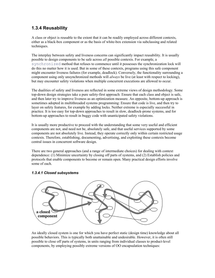## **1.3.4 Reusability**

A class or object is reusable to the extent that it can be readily employed across different contexts, either as a black-box component or as the basis of white-box extension via subclassing and related techniques.

The interplay between safety and liveness concerns can significantly impact reusability. It is usually possible to design components to be safe across *all* possible contexts. For example, a synchronized method that refuses to commence until it possesses the synchronization lock will do this no matter how it is used. But in some of these contexts, programs using this safe component might encounter liveness failures (for example, deadlock). Conversely, the functionality surrounding a component using only unsynchronized methods will *always* be live (at least with respect to locking), but may encounter safety violations when multiple concurrent executions are allowed to occur.

The dualities of safety and liveness are reflected in some extreme views of design methodology. Some top-down design strategies take a pure safety-first approach: Ensure that each class and object is safe, and then later try to improve liveness as an optimization measure. An opposite, bottom-up approach is sometimes adopted in multithreaded systems programming: Ensure that code is live, and then try to layer on safety features, for example by adding locks. Neither extreme is especially successful in practice. It is too easy for top-down approaches to result in slow, deadlock-prone systems, and for bottom-up approaches to result in buggy code with unanticipated safety violations.

It is usually more productive to proceed with the understanding that some very useful and efficient components are not, and need not be, absolutely safe, and that useful services supported by some components are not absolutely live. Instead, they operate correctly only within certain restricted usage contexts. Therefore, establishing, documenting, advertising, and exploiting these contexts become central issues in concurrent software design.

There are two general approaches (and a range of intermediate choices) for dealing with context dependence: (1) Minimize uncertainty by closing off parts of systems, and (2) Establish policies and protocols that enable components to become or remain open. Many practical design efforts involve some of each.



#### *1.3.4.1 Closed subsystems*

An ideally closed system is one for which you have perfect static (design time) knowledge about all possible behaviors. This is typically both unattainable and undesirable. However, it is often still possible to close off parts of systems, in units ranging from individual classes to product-level components, by employing possibly extreme versions of OO encapsulation techniques: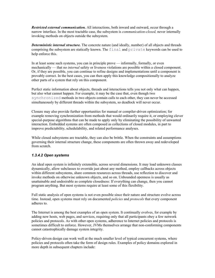*Restricted external communication.* All interactions, both inward and outward, occur through a narrow interface. In the most tractable case, the subsystem is *communication-closed,* never internally invoking methods on objects outside the subsystem.

*Deterministic internal structure.* The concrete nature (and ideally, number) of all objects and threads comprising the subsystem are statically known. The  $\text{final}$  and  $\text{private}$  keywords can be used to help enforce this.

In at least some such systems, you can in principle prove — informally, formally, or even mechanically — that no *internal* safety or liveness violations are possible within a closed component. Or, if they are possible, you can continue to refine designs and implementations until a component is provably correct. In the best cases, you can then apply this knowledge compositionally to analyze other parts of a system that rely on this component.

Perfect static information about objects, threads and interactions tells you not only what can happen, but also what cannot happen. For example, it may be the case that, even though two synchronized methods in two objects contain calls to each other, they can never be accessed simultaneously by different threads within the subsystem, so deadlock will never occur.

Closure may also provide further opportunities for manual or compiler-driven optimization; for example removing synchronization from methods that would ordinarily require it, or employing clever special-purpose algorithms that can be made to apply only by eliminating the possibility of unwanted interaction. Embedded systems are often composed as collections of closed modules, in part to improve predictability, schedulability, and related performance analyses.

While closed subsystems are tractable, they can also be brittle. When the constraints and assumptions governing their internal structure change, these components are often thrown away and redeveloped from scratch.

#### *1.3.4.2 Open systems*

An ideal open system is infinitely extensible, across several dimensions. It may load unknown classes dynamically, allow subclasses to override just about any method, employ callbacks across objects within different subsystems, share common resources across threads, use reflection to discover and invoke methods on otherwise unknown objects, and so on. Unbounded openness is usually as unattainable and undesirable as complete closedness: If everything can change, then you cannot program anything. But most systems require at least some of this flexibility.

Full static analysis of open systems is not even possible since their nature and structure evolve across time. Instead, open systems must rely on documented *policies* and *protocols* that every component adheres to.

The Internet is among the best examples of an open system. It continually evolves, for example by adding new hosts, web pages, and services, requiring only that all participants obey a few network policies and protocols. As with other open systems, adherence to Internet policies and protocols is sometimes difficult to enforce. However, JVMs themselves arrange that non-conforming components cannot catastrophically damage system integrity.

Policy-driven design can work well at the much smaller level of typical concurrent systems, where policies and protocols often take the form of design rules. Examples of policy domains explored in more depth in subsequent chapters include: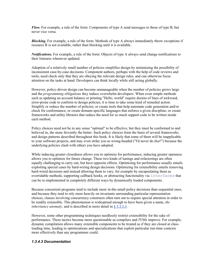*Flow.* For example, a rule of the form: Components of type A send messages to those of type B, but never vice versa.

*Blocking.* For example, a rule of the form: Methods of type A always immediately throw exceptions if resource R is not available, rather than blocking until it is available.

*Notifications.* For example, a rule of the form: Objects of type A always send change notifications to their listeners whenever updated.

Adoption of a relatively small number of policies simplifies design by minimizing the possibility of inconsistent case-by-case decisions. Component authors, perhaps with the help of code reviews and tools, need check only that they are obeying the relevant design rules, and can otherwise focus attention on the tasks at hand. Developers can think locally while still acting globally.

However, policy-driven design can become unmanageable when the number of policies grows large and the *programming obligations* they induce overwhelm developers. When even simple methods such as updating an account balance or printing "Hello, world" require dozens of lines of awkward, error-prone code to conform to design policies, it is time to take some kind of remedial action: Simplify or reduce the number of policies; or create tools that help automate code generation and/or check for conformance; or create domain-specific languages that enforce a given discipline; or create frameworks and utility libraries that reduce the need for so much support code to be written inside each method.

Policy choices need not be in any sense "optimal" to be effective, but they must be conformed to and believed in, the more fervently the better. Such policy choices form the basis of several frameworks and design patterns described throughout this book. It is likely that some of them will be inapplicable to your software projects, and may even strike you as wrong-headed ("I'd never do *that*!") because the underlying policies clash with others you have adopted.

While inducing greater closedness allows you to optimize for performance, inducing greater openness allows you to optimize for future change. These two kinds of tunings and refactorings are often equally challenging to carry out, but have opposite effects. Optimizing for performance usually entails exploiting special cases by hard-wiring design decisions. Optimizing for extensibility entails removing hard-wired decisions and instead allowing them to vary, for example by encapsulating them as overridable methods, supporting callback hooks, or abstracting functionality via interfaces that can be re-implemented in completely different ways by dynamically loaded components.

Because concurrent programs tend to include more in-the-small policy decisions than sequential ones, and because they tend to rely more heavily on invariants surrounding particular representation choices, classes involving concurrency constructs often turn out to require special attention in order to be readily extensible. This phenomenon is widespread enough to have been given a name, *the inheritance anomaly,* and is described in more detail in § 3.3.3.3.

However, some other programming techniques needlessly restrict extensibility for the sake of performance. These tactics become more questionable as compilers and JVMs improve. For example, dynamic compilation allows many extensible components to be treated as if they are closed at classloading time, leading to optimizations and specializations that exploit particular run-time contexts more effectively than any programmer could.

#### *1.3.4.3 Documentation*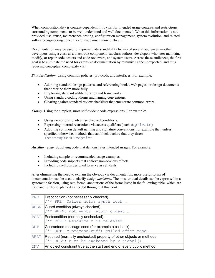When compositionality is context-dependent, it is vital for intended usage contexts and restrictions surrounding components to be well understood and well documented. When this information is not provided, use, reuse, maintenance, testing, configuration management, system evolution, and related software-engineering concerns are made much more difficult.

Documentation may be used to improve understandability by any of several audiences — other developers using a class as a black-box component, subclass authors, developers who later maintain, modify, or repair code, testers and code reviewers, and system users. Across these audiences, the first goal is to eliminate the need for extensive documentation by minimizing the unexpected, and thus reducing conceptual complexity via:

**Standardization.** Using common policies, protocols, and interfaces. For example:

- Adopting standard design patterns, and referencing books, web pages, or design documents that describe them more fully.
- Employing standard utility libraries and frameworks.
- Using standard coding idioms and naming conventions.
- Clearing against standard review checklists that enumerate common errors.

*Clarity.* Using the simplest, most self-evident code expressions. For example:

- Using exceptions to advertise checked conditions.
- Expressing internal restrictions via access qualifiers (such as  $\text{private}$ ).
- Adopting common default naming and signature conventions, for example that, unless specified otherwise, methods that can block declare that they throw InterruptedException.

*Auxiliary code.* Supplying code that demonstrates intended usages. For example:

- Including sample or recommended usage examples.
- Providing code snippets that achieve non-obvious effects.
- Including methods designed to serve as self-tests.

After eliminating the need to explain the obvious via documentation, more useful forms of documentation can be used to clarify design *decisions.* The most critical details can be expressed in a systematic fashion, using semiformal annotations of the forms listed in the following table, which are used and further explained as needed throughout this book.

| PRE  | Precondition (not necessarily checked).<br>/** PRE: Caller holds synch lock                                     |
|------|-----------------------------------------------------------------------------------------------------------------|
| WHEN | Guard condition (always checked).<br>/** WHEN: not empty return oldest                                          |
|      | POST <b>Postcondition</b> (normally unchecked).<br>/** POST: Resource r is released                             |
| OUT  | Guaranteed message send (for example a callback).<br>/** OUT: c.process(buff) called after read                 |
| RELY | Required (normally unchecked) property of other objects or methods.<br>/** RELY: Must be awakened by x.signal() |
| IINV | An object constraint true at the start and end of every public method.                                          |